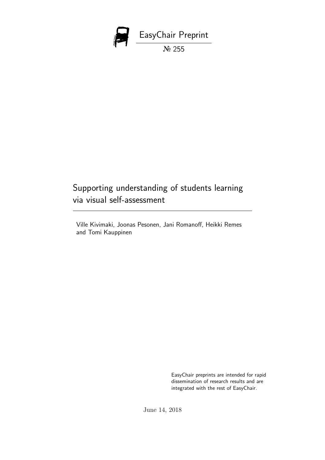

# Supporting understanding of students learning via visual self-assessment

Ville Kivimaki, Joonas Pesonen, Jani Romanoff, Heikki Remes and Tomi Kauppinen

> EasyChair preprints are intended for rapid dissemination of research results and are integrated with the rest of EasyChair.

June 14, 2018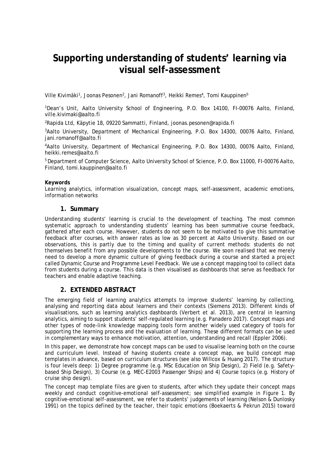# **Supporting understanding of students' learning via visual self-assessment**

Ville Kivimäki<sup>1</sup>, Joonas Pesonen<sup>2</sup>, Jani Romanoff<sup>3</sup>, Heikki Remes<sup>4</sup>, Tomi Kauppinen<sup>5</sup>

<sup>1</sup>Dean's Unit, Aalto University School of Engineering, P.O. Box 14100, FI-00076 Aalto, Finland, ville.kivimaki@aalto.fi

<sup>2</sup>Rapida Ltd, Käpytie 18, 09220 Sammatti, Finland, joonas.pesonen@rapida.fi

<sup>3</sup>Aalto University, Department of Mechanical Engineering, P.O. Box 14300, 00076 Aalto, Finland, jani.romanoff@aalto.fi

<sup>4</sup>Aalto University, Department of Mechanical Engineering, P.O. Box 14300, 00076 Aalto, Finland, heikki.remes@aalto.fi

<sup>5</sup> Department of Computer Science, Aalto University School of Science, P.O. Box 11000, FI-00076 Aalto, Finland, tomi.kauppinen@aalto.fi

#### **Keywords**

Learning analytics, information visualization, concept maps, self-assessment, academic emotions, information networks

**1. Summary**

Understanding students' learning is crucial to the development of teaching. The most common systematic approach to understanding students' learning has been summative course feedback, gathered after each course. However, students do not seem to be motivated to give this summative feedback after courses, with answer rates as low as 30 percent at Aalto University. Based on our observations, this is partly due to the timing and quality of current methods: students do not themselves benefit from any possible developments to the course. We soon realised that we merely need to develop a more dynamic culture of giving feedback during a course and started a project called Dynamic Course and Programme Level Feedback. We use a concept mapping tool to collect data from students during a course. This data is then visualised as dashboards that serve as feedback for teachers and enable adaptive teaching.

### **2. EXTENDED ABSTRACT**

The emerging field of learning analytics attempts to improve students' learning by collecting, analysing and reporting data about learners and their contexts (Siemens 2013). Different kinds of visualisations, such as learning analytics dashboards (Verbert et al. 2013), are central in learning analytics, aiming to support students' self-regulated learning (e.g. Panadero 2017). Concept maps and other types of node-link knowledge mapping tools form another widely used category of tools for supporting the learning process and the evaluation of learning. These different formats can be used in complementary ways to enhance motivation, attention, understanding and recall (Eppler 2006).

In this paper, we demonstrate how concept maps can be used to visualise learning both on the course and curriculum level. Instead of having students create a concept map, we build concept map templates in advance, based on curriculum structures (see also Willcox & Huang 2017). The structure is four levels deep: 1) Degree programme (e.g. MSc Education on Ship Design), 2) Field (e.g. Safetybased Ship Design), 3) Course (e.g. MEC-E2003 Passenger Ships) and 4) Course topics (e.g. History of cruise ship design).

The concept map template files are given to students, after which they update their concept maps weekly and conduct cognitive-emotional self-assessment; see simplified example in Figure 1. By cognitive-emotional self-assessment, we refer to students' judgements of learning (Nelson & Dunlosky 1991) on the topics defined by the teacher, their topic emotions (Boekaerts & Pekrun 2015) toward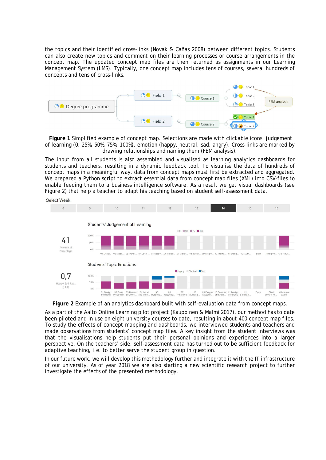the topics and their identified cross-links (Novak & Cañas 2008) between different topics. Students can also create new topics and comment on their learning processes or course arrangements in the concept map. The updated concept map files are then returned as assignments in our Learning Management System (LMS). Typically, one concept map includes tens of courses, several hundreds of concepts and tens of cross-links.



**Figure 1** Simplified example of concept map. Selections are made with clickable icons: judgement of learning (0, 25%, 50%, 75%, 100%), emotion (happy, neutral, sad, angry). Cross-links are marked by drawing relationships and naming them (FEM analysis).

The input from all students is also assembled and visualised as learning analytics dashboards for students and teachers, resulting in a dynamic feedback tool. To visualise the data of hundreds of concept maps in a meaningful way, data from concept maps must first be extracted and aggregated. We prepared a Python script to extract essential data from concept map files (XML) into CSV-files to enable feeding them to a business intelligence software. As a result we get visual dashboards (see Figure 2) that help a teacher to adapt his teaching based on student self-assessment data.



**Figure 2** Example of an analytics dashboard built with self-evaluation data from concept maps.

As a part of the Aalto Online Learning pilot project (Kauppinen & Malmi 2017), our method has to date been piloted and in use on eight university courses to date, resulting in about 400 concept map files. To study the effects of concept mapping and dashboards, we interviewed students and teachers and made observations from students' concept map files. A key insight from the student interviews was that the visualisations help students put their personal opinions and experiences into a larger perspective. On the teachers' side, self-assessment data has turned out to be sufficient feedback for adaptive teaching, i.e. to better serve the student group in question.

In our future work, we will develop this methodology further and integrate it with the IT infrastructure of our university. As of year 2018 we are also starting a new scientific research project to further investigate the effects of the presented methodology.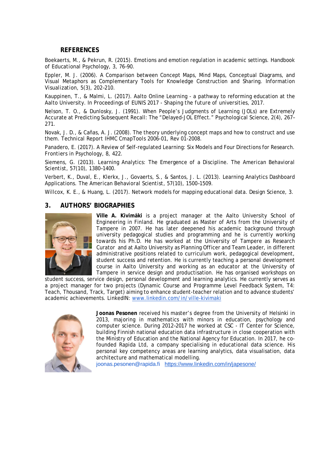### **REFERENCES**

Boekaerts, M., & Pekrun, R. (2015). Emotions and emotion regulation in academic settings. *Handbook of Educational Psychology, 3,* 76–90.

Eppler, M. J. (2006). A Comparison between Concept Maps, Mind Maps, Conceptual Diagrams, and Visual Metaphors as Complementary Tools for Knowledge Construction and Sharing. *Information Visualization, 5(3),* 202–210.

Kauppinen, T., & Malmi, L. (2017). Aalto Online Learning - a pathway to reforming education at the Aalto University. In *Proceedings of EUNIS 2017 - Shaping the future of universities, 2017*.

Nelson, T. O., & Dunlosky, J. (1991). When People's Judgments of Learning (JOLs) are Extremely Accurate at Predicting Subsequent Recall: The "Delayed-JOL Effect." *Psychological Science, 2(4),* 267– 271.

Novak, J. D., & Cañas, A. J. (2008). The theory underlying concept maps and how to construct and use them. *Technical Report IHMC CmapTools 2006-01,* Rev 01-2008.

Panadero, E. (2017). A Review of Self-regulated Learning: Six Models and Four Directions for Research. *Frontiers in Psychology, 8,* 422.

Siemens, G. (2013). Learning Analytics: The Emergence of a Discipline. *The American Behavioral Scientist, 57(10)*, 1380–1400.

Verbert, K., Duval, E., Klerkx, J., Govaerts, S., & Santos, J. L. (2013). Learning Analytics Dashboard Applications. *The American Behavioral Scientist, 57(10)*, 1500–1509.

Willcox, K. E., & Huang, L. (2017). Network models for mapping educational data. *Design Science, 3.*

### **3. AUTHORS' BIOGRAPHIES**



**Ville A. Kivimäki** is a project manager at the Aalto University School of Engineering in Finland. He graduated as Master of Arts from the University of Tampere in 2007. He has later deepened his academic background through university pedagogical studies and programming and he is currently working towards his Ph.D. He has worked at the University of Tampere as Research Curator and at Aalto University as Planning Officer and Team Leader, in different administrative positions related to curriculum work, pedagogical development, student success and retention. He is currently teaching a personal development course in Aalto University and working as an educator at the University of Tampere in service design and productisation. He has organised workshops on

student success, service design, personal development and learning analytics. He currently serves as a project manager for two projects (Dynamic Course and Programme Level Feedback System, T4: Teach, Thousand, Track, Target) aiming to enhance student-teacher relation and to advance students' academic achievements. LinkedIN: www.linkedin.com/in/ville-kivimaki



**Joonas Pesonen** received his master's degree from the University of Helsinki in 2013, majoring in mathematics with minors in education, psychology and computer science. During 2012–2017 he worked at CSC - IT Center for Science, building Finnish national education data infrastructure in close cooperation with the Ministry of Education and the National Agency for Education. In 2017, he cofounded Rapida Ltd, a company specialising in educational data science. His personal key competency areas are learning analytics, data visualisation, data architecture and mathematical modelling.

joonas.pesonen@rapida.fi https://www.linkedin.com/in/japesone/